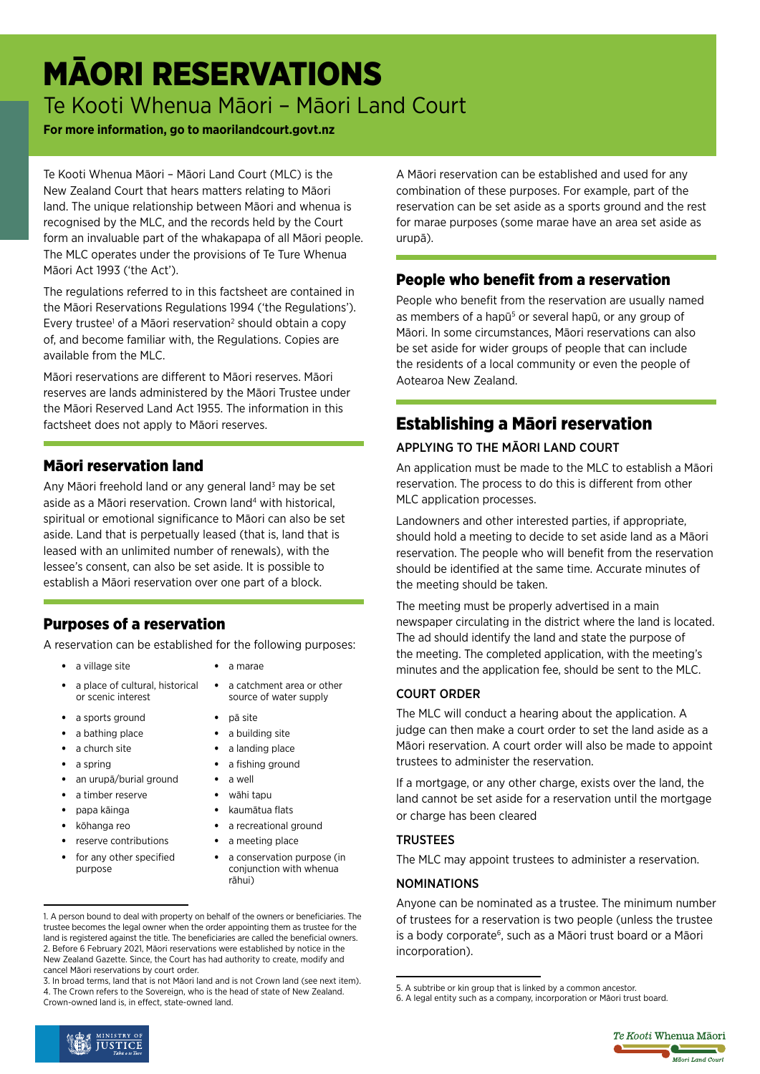# MĀORI RESERVATIONS

Te Kooti Whenua Māori – Māori Land Court

#### **For more information, go to maorilandcourt.govt.nz**

Te Kooti Whenua Māori – Māori Land Court (MLC) is the New Zealand Court that hears matters relating to Māori land. The unique relationship between Māori and whenua is recognised by the MLC, and the records held by the Court form an invaluable part of the whakapapa of all Māori people. The MLC operates under the provisions of Te Ture Whenua Māori Act 1993 ('the Act').

The regulations referred to in this factsheet are contained in the Māori Reservations Regulations 1994 ('the Regulations'). Every trustee<sup>1</sup> of a Māori reservation<sup>2</sup> should obtain a copy of, and become familiar with, the Regulations. Copies are available from the MLC.

Māori reservations are different to Māori reserves. Māori reserves are lands administered by the Māori Trustee under the Māori Reserved Land Act 1955. The information in this factsheet does not apply to Māori reserves.

## Māori reservation land

Any Māori freehold land or any general land<sup>3</sup> may be set aside as a Māori reservation. Crown land<sup>4</sup> with historical, spiritual or emotional significance to Māori can also be set aside. Land that is perpetually leased (that is, land that is leased with an unlimited number of renewals), with the lessee's consent, can also be set aside. It is possible to establish a Māori reservation over one part of a block.

## Purposes of a reservation

A reservation can be established for the following purposes:

- a village site **•** a marae
- a place of cultural, historical or scenic interest
- a sports ground pā site
- a bathing place a building site
- 
- 
- an urupā/burial ground a well
- a timber reserve wāhi tapu
- papa kāinga kaumātua flats
- 
- reserve contributions a meeting place
- for any other specified purpose
- 
- a catchment area or other source of water supply
- 
- 
- a church site **•** a landing place
	- a spring **be a fishing ground •** a fishing ground
		-
		-
		-
- kōhanga reo a recreational ground
	-
	- a conservation purpose (in conjunction with whenua rāhui)

3. In broad terms, land that is not Māori land and is not Crown land (see next item). 4. The Crown refers to the Sovereign, who is the head of state of New Zealand. Crown‑owned land is, in effect, state-owned land.

A Māori reservation can be established and used for any combination of these purposes. For example, part of the reservation can be set aside as a sports ground and the rest for marae purposes (some marae have an area set aside as urupā).

## People who benefit from a reservation

People who benefit from the reservation are usually named as members of a hapū<sup>5</sup> or several hapū, or any group of Māori. In some circumstances, Māori reservations can also be set aside for wider groups of people that can include the residents of a local community or even the people of Aotearoa New Zealand.

## Establishing a Māori reservation

## APPLYING TO THE MĀORI LAND COURT

An application must be made to the MLC to establish a Māori reservation. The process to do this is different from other MLC application processes.

Landowners and other interested parties, if appropriate, should hold a meeting to decide to set aside land as a Māori reservation. The people who will benefit from the reservation should be identified at the same time. Accurate minutes of the meeting should be taken.

The meeting must be properly advertised in a main newspaper circulating in the district where the land is located. The ad should identify the land and state the purpose of the meeting. The completed application, with the meeting's minutes and the application fee, should be sent to the MLC.

#### COURT ORDER

The MLC will conduct a hearing about the application. A judge can then make a court order to set the land aside as a Māori reservation. A court order will also be made to appoint trustees to administer the reservation.

If a mortgage, or any other charge, exists over the land, the land cannot be set aside for a reservation until the mortgage or charge has been cleared

#### **TRUSTEES**

The MLC may appoint trustees to administer a reservation.

#### NOMINATIONS

Anyone can be nominated as a trustee. The minimum number of trustees for a reservation is two people (unless the trustee is a body corporate<sup>6</sup>, such as a Māori trust board or a Māori incorporation).





<sup>1.</sup> A person bound to deal with property on behalf of the owners or beneficiaries. The trustee becomes the legal owner when the order appointing them as trustee for the land is registered against the title. The beneficiaries are called the beneficial owners. 2. Before 6 February 2021, Māori reservations were established by notice in the New Zealand Gazette. Since, the Court has had authority to create, modify and cancel Māori reservations by court order.

<sup>5.</sup> A subtribe or kin group that is linked by a common ancestor.

<sup>6.</sup> A legal entity such as a company, incorporation or Māori trust board.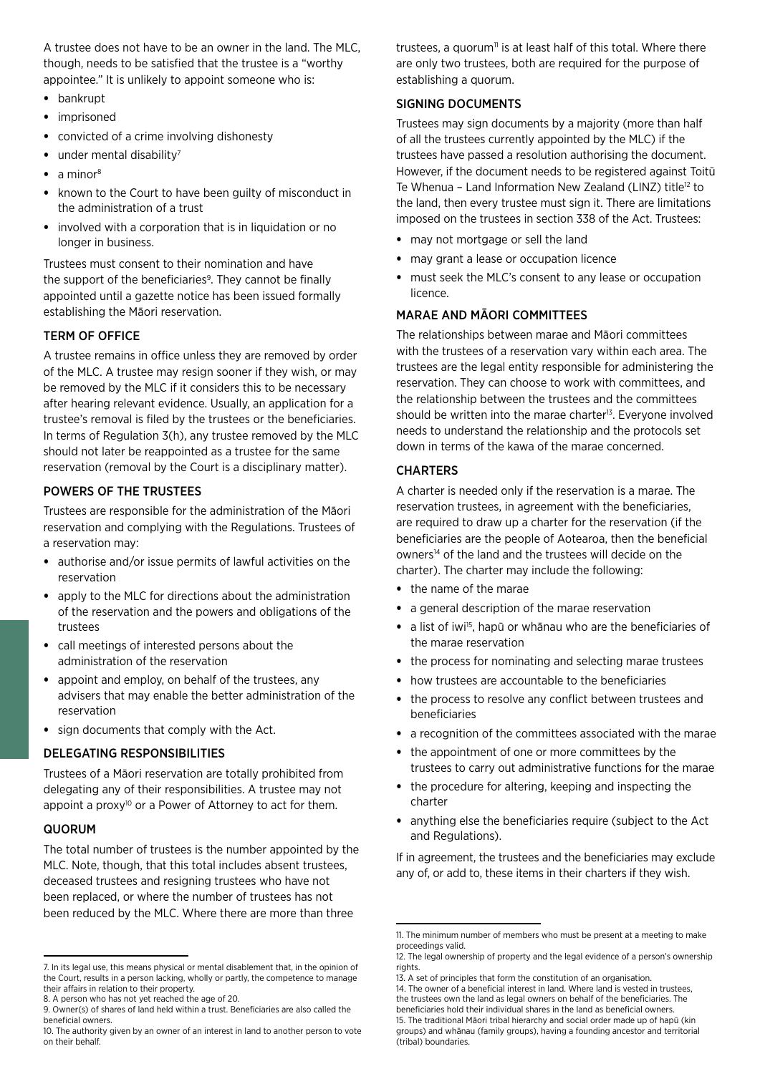A trustee does not have to be an owner in the land. The MLC, though, needs to be satisfied that the trustee is a "worthy appointee." It is unlikely to appoint someone who is:

- bankrupt
- imprisoned
- convicted of a crime involving dishonesty
- $\bullet$  under mental disability<sup>7</sup>
- $\bullet$  a minor<sup>8</sup>
- known to the Court to have been guilty of misconduct in the administration of a trust
- involved with a corporation that is in liquidation or no longer in business.

Trustees must consent to their nomination and have the support of the beneficiaries<sup>9</sup>. They cannot be finally appointed until a gazette notice has been issued formally establishing the Māori reservation.

#### TERM OF OFFICE

A trustee remains in office unless they are removed by order of the MLC. A trustee may resign sooner if they wish, or may be removed by the MLC if it considers this to be necessary after hearing relevant evidence. Usually, an application for a trustee's removal is filed by the trustees or the beneficiaries. In terms of Regulation 3(h), any trustee removed by the MLC should not later be reappointed as a trustee for the same reservation (removal by the Court is a disciplinary matter).

#### POWERS OF THE TRUSTEES

Trustees are responsible for the administration of the Māori reservation and complying with the Regulations. Trustees of a reservation may:

- authorise and/or issue permits of lawful activities on the reservation
- apply to the MLC for directions about the administration of the reservation and the powers and obligations of the trustees
- call meetings of interested persons about the administration of the reservation
- appoint and employ, on behalf of the trustees, any advisers that may enable the better administration of the reservation
- sign documents that comply with the Act.

#### DELEGATING RESPONSIBILITIES

Trustees of a Māori reservation are totally prohibited from delegating any of their responsibilities. A trustee may not appoint a proxy<sup>10</sup> or a Power of Attorney to act for them.

#### **QUORUM**

The total number of trustees is the number appointed by the MLC. Note, though, that this total includes absent trustees, deceased trustees and resigning trustees who have not been replaced, or where the number of trustees has not been reduced by the MLC. Where there are more than three

trustees, a quorum<sup>11</sup> is at least half of this total. Where there are only two trustees, both are required for the purpose of establishing a quorum.

#### SIGNING DOCUMENTS

Trustees may sign documents by a majority (more than half of all the trustees currently appointed by the MLC) if the trustees have passed a resolution authorising the document. However, if the document needs to be registered against Toitū Te Whenua - Land Information New Zealand (LINZ) title<sup>12</sup> to the land, then every trustee must sign it. There are limitations imposed on the trustees in section 338 of the Act. Trustees:

- may not mortgage or sell the land
- may grant a lease or occupation licence
- must seek the MLC's consent to any lease or occupation licence.

#### MARAE AND MĀORI COMMITTEES

The relationships between marae and Māori committees with the trustees of a reservation vary within each area. The trustees are the legal entity responsible for administering the reservation. They can choose to work with committees, and the relationship between the trustees and the committees should be written into the marae charter<sup>13</sup>. Everyone involved needs to understand the relationship and the protocols set down in terms of the kawa of the marae concerned.

#### **CHARTERS**

A charter is needed only if the reservation is a marae. The reservation trustees, in agreement with the beneficiaries, are required to draw up a charter for the reservation (if the beneficiaries are the people of Aotearoa, then the beneficial owners14 of the land and the trustees will decide on the charter). The charter may include the following:

- the name of the marae
- a general description of the marae reservation
- a list of iwi<sup>15</sup>, hapū or whānau who are the beneficiaries of the marae reservation
- the process for nominating and selecting marae trustees
- how trustees are accountable to the beneficiaries
- the process to resolve any conflict between trustees and beneficiaries
- a recognition of the committees associated with the marae
- the appointment of one or more committees by the trustees to carry out administrative functions for the marae
- the procedure for altering, keeping and inspecting the charter
- anything else the beneficiaries require (subject to the Act and Regulations).

If in agreement, the trustees and the beneficiaries may exclude any of, or add to, these items in their charters if they wish.

<sup>7.</sup> In its legal use, this means physical or mental disablement that, in the opinion of the Court, results in a person lacking, wholly or partly, the competence to manage their affairs in relation to their property.

<sup>8.</sup> A person who has not yet reached the age of 20.

<sup>9.</sup> Owner(s) of shares of land held within a trust. Beneficiaries are also called the beneficial owners.

<sup>10.</sup> The authority given by an owner of an interest in land to another person to vote on their behalf.

<sup>11.</sup> The minimum number of members who must be present at a meeting to make proceedings valid.

<sup>12.</sup> The legal ownership of property and the legal evidence of a person's ownership rights.

<sup>13.</sup> A set of principles that form the constitution of an organisation

<sup>14.</sup> The owner of a beneficial interest in land. Where land is vested in trustees, the trustees own the land as legal owners on behalf of the beneficiaries. The

beneficiaries hold their individual shares in the land as beneficial owners.

<sup>15.</sup> The traditional Māori tribal hierarchy and social order made up of hapū (kin groups) and whānau (family groups), having a founding ancestor and territorial (tribal) boundaries.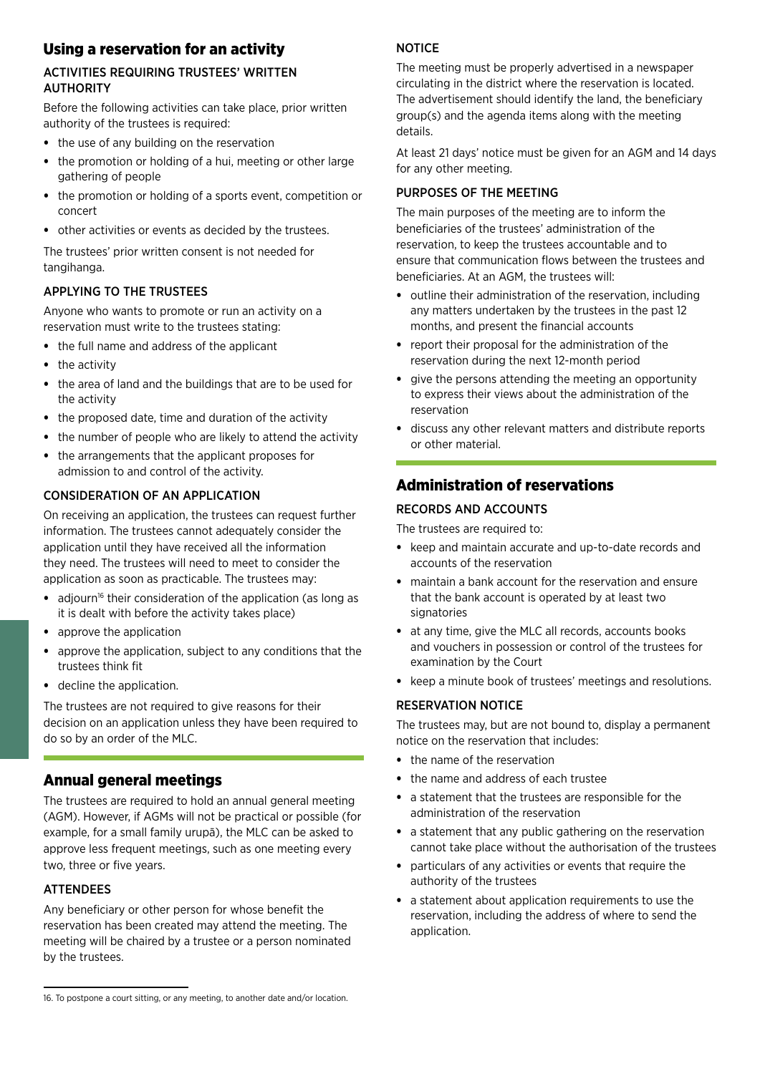## Using a reservation for an activity

#### ACTIVITIES REQUIRING TRUSTEES' WRITTEN AUTHORITY

Before the following activities can take place, prior written authority of the trustees is required:

- the use of any building on the reservation
- the promotion or holding of a hui, meeting or other large gathering of people
- the promotion or holding of a sports event, competition or concert
- other activities or events as decided by the trustees.

The trustees' prior written consent is not needed for tangihanga.

#### APPLYING TO THE TRUSTEES

Anyone who wants to promote or run an activity on a reservation must write to the trustees stating:

- the full name and address of the applicant
- the activity
- the area of land and the buildings that are to be used for the activity
- the proposed date, time and duration of the activity
- the number of people who are likely to attend the activity
- the arrangements that the applicant proposes for admission to and control of the activity.

#### CONSIDERATION OF AN APPLICATION

On receiving an application, the trustees can request further information. The trustees cannot adequately consider the application until they have received all the information they need. The trustees will need to meet to consider the application as soon as practicable. The trustees may:

- adjourn<sup>16</sup> their consideration of the application (as long as it is dealt with before the activity takes place)
- approve the application
- approve the application, subject to any conditions that the trustees think fit
- decline the application.

The trustees are not required to give reasons for their decision on an application unless they have been required to do so by an order of the MLC.

### Annual general meetings

The trustees are required to hold an annual general meeting (AGM). However, if AGMs will not be practical or possible (for example, for a small family urupā), the MLC can be asked to approve less frequent meetings, such as one meeting every two, three or five years.

#### ATTENDEES

Any beneficiary or other person for whose benefit the reservation has been created may attend the meeting. The meeting will be chaired by a trustee or a person nominated by the trustees.

#### **NOTICE**

The meeting must be properly advertised in a newspaper circulating in the district where the reservation is located. The advertisement should identify the land, the beneficiary group(s) and the agenda items along with the meeting details.

At least 21 days' notice must be given for an AGM and 14 days for any other meeting.

#### PURPOSES OF THE MEETING

The main purposes of the meeting are to inform the beneficiaries of the trustees' administration of the reservation, to keep the trustees accountable and to ensure that communication flows between the trustees and beneficiaries. At an AGM, the trustees will:

- outline their administration of the reservation, including any matters undertaken by the trustees in the past 12 months, and present the financial accounts
- report their proposal for the administration of the reservation during the next 12-month period
- give the persons attending the meeting an opportunity to express their views about the administration of the reservation
- discuss any other relevant matters and distribute reports or other material.

## Administration of reservations

#### RECORDS AND ACCOUNTS

The trustees are required to:

- keep and maintain accurate and up-to-date records and accounts of the reservation
- maintain a bank account for the reservation and ensure that the bank account is operated by at least two signatories
- at any time, give the MLC all records, accounts books and vouchers in possession or control of the trustees for examination by the Court
- keep a minute book of trustees' meetings and resolutions.

#### RESERVATION NOTICE

The trustees may, but are not bound to, display a permanent notice on the reservation that includes:

- the name of the reservation
- the name and address of each trustee
- a statement that the trustees are responsible for the administration of the reservation
- a statement that any public gathering on the reservation cannot take place without the authorisation of the trustees
- particulars of any activities or events that require the authority of the trustees
- a statement about application requirements to use the reservation, including the address of where to send the application.

<sup>16.</sup> To postpone a court sitting, or any meeting, to another date and/or location.